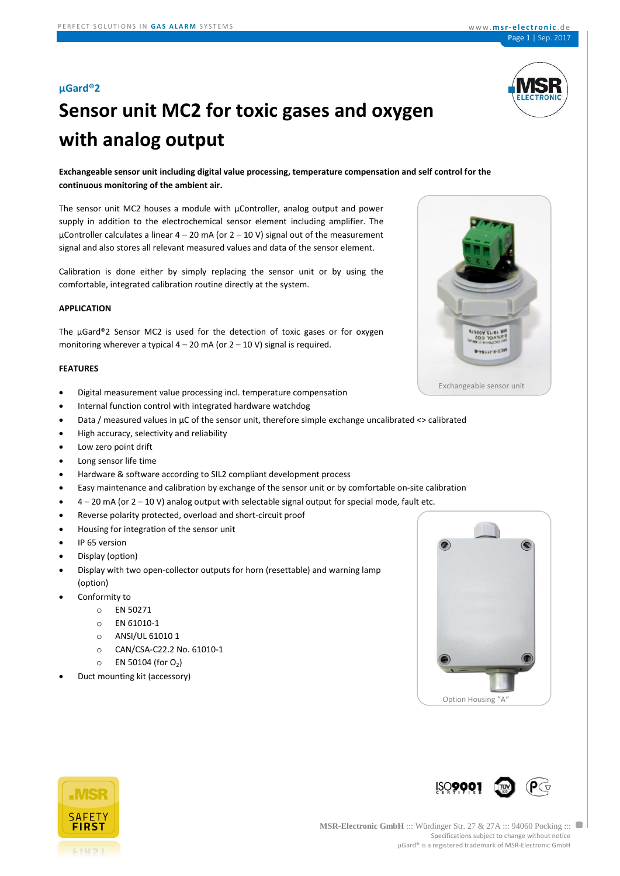# **Sensor unit MC2 for toxic gases and oxygen with analog output**

**Exchangeable sensor unit including digital value processing, temperature compensation and self control for the continuous monitoring of the ambient air.**

The sensor unit MC2 houses a module with µController, analog output and power supply in addition to the electrochemical sensor element including amplifier. The  $\mu$ Controller calculates a linear 4 – 20 mA (or 2 – 10 V) signal out of the measurement signal and also stores all relevant measured values and data of the sensor element.

Calibration is done either by simply replacing the sensor unit or by using the comfortable, integrated calibration routine directly at the system.

#### **APPLICATION**

The µGard®2 Sensor MC2 is used for the detection of toxic gases or for oxygen monitoring wherever a typical  $4 - 20$  mA (or  $2 - 10$  V) signal is required.

#### **FEATURES**

- Digital measurement value processing incl. temperature compensation
- Internal function control with integrated hardware watchdog
- Data / measured values in µC of the sensor unit, therefore simple exchange uncalibrated <> calibrated
- High accuracy, selectivity and reliability
- Low zero point drift
- Long sensor life time
- Hardware & software according to SIL2 compliant development process
- Easy maintenance and calibration by exchange of the sensor unit or by comfortable on-site calibration
- 4 20 mA (or 2 10 V) analog output with selectable signal output for special mode, fault etc.
- Reverse polarity protected, overload and short-circuit proof
- Housing for integration of the sensor unit
- IP 65 version
- Display (option)
- Display with two open-collector outputs for horn (resettable) and warning lamp (option)
- Conformity to
	- o EN 50271
	- o EN 61010-1
	- o ANSI/UL 61010 1
	- o CAN/CSA-C22.2 No. 61010-1
	- $\circ$  EN 50104 (for O<sub>2</sub>)
- Duct mounting kit (accessory)







ISO**900** 

 $\blacksquare$ 



Exchangeable sensor unit

 $-101152$ 

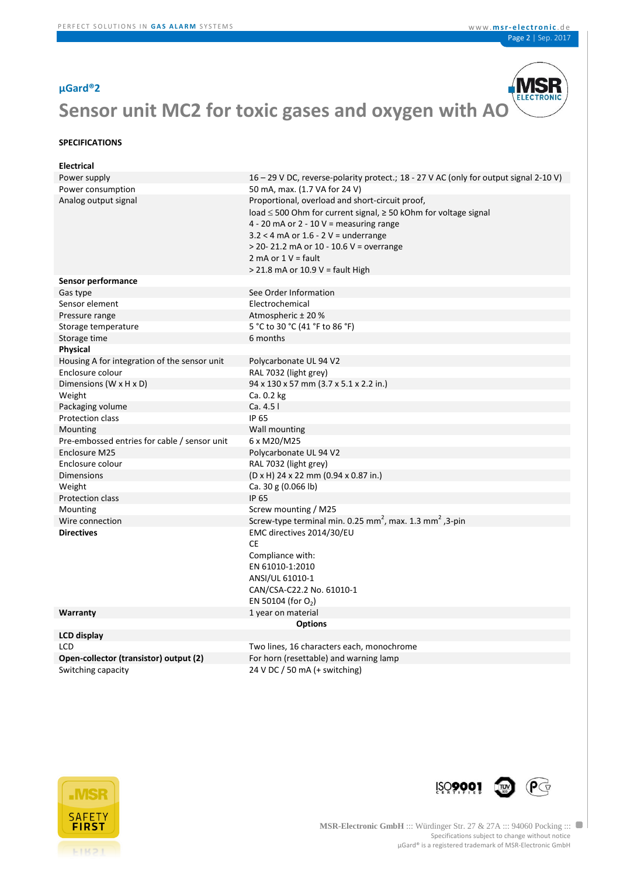

#### **SPECIFICATIONS**

| <b>Electrical</b>                            |                                                                                                                                                                                                                                                                                                                         |
|----------------------------------------------|-------------------------------------------------------------------------------------------------------------------------------------------------------------------------------------------------------------------------------------------------------------------------------------------------------------------------|
| Power supply                                 | 16 – 29 V DC, reverse-polarity protect.; 18 - 27 V AC (only for output signal 2-10 V)                                                                                                                                                                                                                                   |
| Power consumption                            | 50 mA, max. (1.7 VA for 24 V)                                                                                                                                                                                                                                                                                           |
| Analog output signal                         | Proportional, overload and short-circuit proof,<br>load ≤ 500 Ohm for current signal, ≥ 50 kOhm for voltage signal<br>4 - 20 mA or 2 - 10 V = measuring range<br>$3.2 < 4$ mA or $1.6 - 2$ V = underrange<br>$>$ 20 - 21.2 mA or 10 - 10.6 V = overrange<br>2 mA or $1 V =$ fault<br>$>$ 21.8 mA or 10.9 V = fault High |
| Sensor performance                           |                                                                                                                                                                                                                                                                                                                         |
| Gas type                                     | See Order Information                                                                                                                                                                                                                                                                                                   |
| Sensor element                               | Electrochemical                                                                                                                                                                                                                                                                                                         |
| Pressure range                               | Atmospheric ± 20 %                                                                                                                                                                                                                                                                                                      |
| Storage temperature                          | 5 °C to 30 °C (41 °F to 86 °F)                                                                                                                                                                                                                                                                                          |
| Storage time                                 | 6 months                                                                                                                                                                                                                                                                                                                |
| Physical                                     |                                                                                                                                                                                                                                                                                                                         |
| Housing A for integration of the sensor unit | Polycarbonate UL 94 V2                                                                                                                                                                                                                                                                                                  |
| Enclosure colour                             | RAL 7032 (light grey)                                                                                                                                                                                                                                                                                                   |
| Dimensions (W x H x D)                       | 94 x 130 x 57 mm (3.7 x 5.1 x 2.2 in.)                                                                                                                                                                                                                                                                                  |
| Weight                                       | Ca. 0.2 kg                                                                                                                                                                                                                                                                                                              |
| Packaging volume                             | Ca. 4.5 l                                                                                                                                                                                                                                                                                                               |
| Protection class                             | <b>IP 65</b>                                                                                                                                                                                                                                                                                                            |
| Mounting                                     | Wall mounting                                                                                                                                                                                                                                                                                                           |
| Pre-embossed entries for cable / sensor unit | 6 x M20/M25                                                                                                                                                                                                                                                                                                             |
| Enclosure M25                                | Polycarbonate UL 94 V2                                                                                                                                                                                                                                                                                                  |
| Enclosure colour                             | RAL 7032 (light grey)                                                                                                                                                                                                                                                                                                   |
| <b>Dimensions</b>                            | (D x H) 24 x 22 mm (0.94 x 0.87 in.)                                                                                                                                                                                                                                                                                    |
| Weight                                       | Ca. 30 g $(0.066 \text{ lb})$                                                                                                                                                                                                                                                                                           |
| Protection class                             | <b>IP 65</b>                                                                                                                                                                                                                                                                                                            |
| Mounting                                     | Screw mounting / M25                                                                                                                                                                                                                                                                                                    |
| Wire connection                              | Screw-type terminal min. 0.25 mm <sup>2</sup> , max. 1.3 mm <sup>2</sup> , 3-pin                                                                                                                                                                                                                                        |
| <b>Directives</b>                            | EMC directives 2014/30/EU<br>CE<br>Compliance with:<br>EN 61010-1:2010<br>ANSI/UL 61010-1<br>CAN/CSA-C22.2 No. 61010-1<br>EN 50104 (for $O_2$ )                                                                                                                                                                         |
| Warranty                                     | 1 year on material                                                                                                                                                                                                                                                                                                      |
|                                              | <b>Options</b>                                                                                                                                                                                                                                                                                                          |
| <b>LCD display</b>                           |                                                                                                                                                                                                                                                                                                                         |
| <b>LCD</b>                                   | Two lines, 16 characters each, monochrome                                                                                                                                                                                                                                                                               |
| Open-collector (transistor) output (2)       | For horn (resettable) and warning lamp                                                                                                                                                                                                                                                                                  |
| Switching capacity                           | 24 V DC / 50 mA (+ switching)                                                                                                                                                                                                                                                                                           |



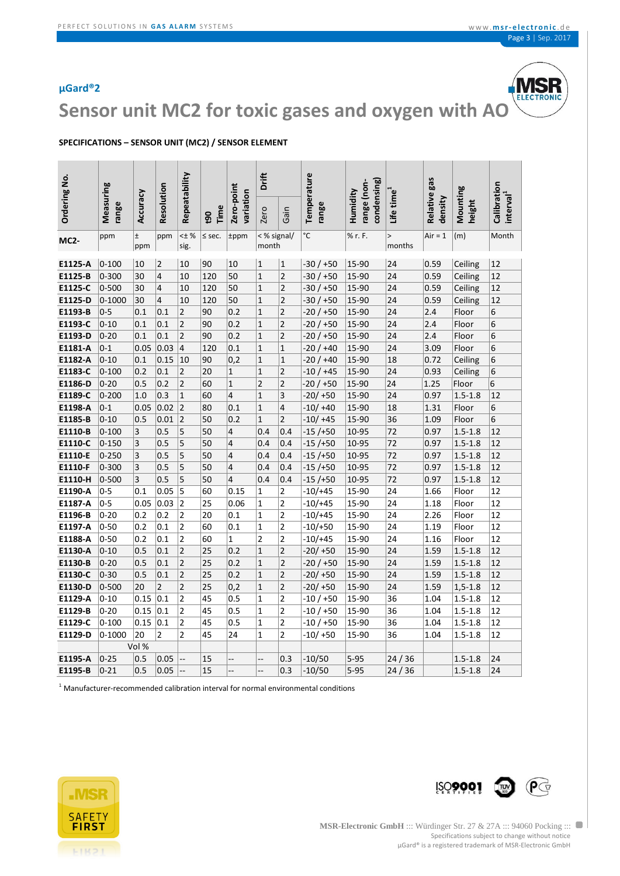

## **Sensor unit MC2 for toxic gases and oxygen with AO**

#### **SPECIFICATIONS – SENSOR UNIT (MC2) / SENSOR ELEMENT**

|                     |                    |              |                | Repeatability           |            |                         | Drift                   |                         | Temperature           |                                        |                        | gas                        |                    |                                      |
|---------------------|--------------------|--------------|----------------|-------------------------|------------|-------------------------|-------------------------|-------------------------|-----------------------|----------------------------------------|------------------------|----------------------------|--------------------|--------------------------------------|
| <b>Ordering No.</b> | Measuring<br>range | Accuracy     | Resolution     |                         | Time<br>60 | Zero-point<br>variation | Zero                    | Gain                    | range                 | condensing)<br>range (non-<br>Humidity | Life time              | <b>Relative</b><br>density | Mounting<br>height | Calibration<br>interval <sup>1</sup> |
| <b>MC2-</b>         | ppm                | $\pm$<br>ppm | ppm            | <± %<br>sig.            | $\le$ sec. | tppm                    | < % signal/<br>month    |                         | $\overline{\text{c}}$ | % r. F.                                | $\mathbf{L}$<br>months | $Air = 1$                  | (m)                | Month                                |
| E1125-A             | $0 - 100$          | 10           | $\overline{2}$ | 10                      | 90         | 10                      | $\mathbf{1}$            | $\mathbf{1}$            | -30 / +50             | 15-90                                  | 24                     | 0.59                       | Ceiling            | 12                                   |
| E1125-B             | $0 - 300$          | 30           | $\overline{4}$ | 10                      | 120        | 50                      | $\mathbf{1}$            | $\overline{\mathbf{c}}$ | $-30/+50$             | 15-90                                  | 24                     | 0.59                       | Ceiling            | 12                                   |
| E1125-C             | $0 - 500$          | 30           | 4              | 10                      | 120        | 50                      | $\mathbf{1}$            | 2                       | -30 / +50             | 15-90                                  | 24                     | 0.59                       | Ceiling            | 12                                   |
| E1125-D             | $0 - 1000$         | 30           | 4              | 10                      | 120        | 50                      | $\mathbf{1}$            | $\overline{\mathbf{c}}$ | -30 / +50             | 15-90                                  | 24                     | 0.59                       | Ceiling            | 12                                   |
| E1193-B             | $0 - 5$            | 0.1          | 0.1            | $\overline{\mathbf{c}}$ | 90         | 0.2                     | $\mathbf{1}$            | $\overline{\mathbf{c}}$ | $-20/+50$             | 15-90                                  | 24                     | 2.4                        | Floor              | 6                                    |
| E1193-C             | $0 - 10$           | 0.1          | 0.1            | $\overline{\mathbf{c}}$ | 90         | 0.2                     | $\mathbf{1}$            | $\overline{\mathbf{c}}$ | -20 / +50             | $15 - 90$                              | 24                     | 2.4                        | Floor              | 6                                    |
| E1193-D             | $0 - 20$           | 0.1          | 0.1            | $\overline{2}$          | 90         | 0.2                     | $\mathbf{1}$            | $\overline{\mathbf{c}}$ | -20 / +50             | 15-90                                  | 24                     | 2.4                        | Floor              | 6                                    |
| E1181-A             | $0 - 1$            | 0.05         | 0.03           | $\overline{\mathbf{r}}$ | 120        | 0.1                     | $\mathbf{1}$            | $\overline{1}$          | -20 / +40             | 15-90                                  | 24                     | 3.09                       | Floor              | 6                                    |
| E1182-A             | $0 - 10$           | 0.1          | 0.15           | 10                      | 90         | 0,2                     | $\mathbf{1}$            | $\mathbf 1$             | $-20/+40$             | 15-90                                  | 18                     | 0.72                       | Ceiling            | 6                                    |
| E1183-C             | $0 - 100$          | 0.2          | 0.1            | 2                       | 20         | $\mathbf{1}$            | $\mathbf{1}$            | $\overline{2}$          | $-10/+45$             | $15 - 90$                              | 24                     | 0.93                       | Ceiling            | 6                                    |
| E1186-D             | $0 - 20$           | 0.5          | 0.2            | $\overline{2}$          | 60         | $\mathbf{1}$            | $\overline{2}$          | $\overline{\mathbf{c}}$ | $-20/+50$             | 15-90                                  | 24                     | 1.25                       | Floor              | 6                                    |
| E1189-C             | $0 - 200$          | 1.0          | 0.3            | $\mathbf{1}$            | 60         | 4                       | $\mathbf{1}$            | 3                       | $-20/+50$             | 15-90                                  | 24                     | 0.97                       | $1.5 - 1.8$        | 12                                   |
| E1198-A             | $0 - 1$            | 0.05         | 0.02           | $\overline{2}$          | 80         | 0.1                     | $\mathbf{1}$            | 4                       | $-10/ +40$            | 15-90                                  | 18                     | 1.31                       | Floor              | 6                                    |
| E1185-B             | $0 - 10$           | 0.5          | 0.01           | $\overline{2}$          | 50         | 0.2                     | $\overline{1}$          | $\overline{2}$          | $-10/ +45$            | 15-90                                  | 36                     | 1.09                       | Floor              | 6                                    |
| E1110-B             | $0 - 100$          | 3            | 0.5            | 5                       | 50         | 4                       | 0.4                     | 0.4                     | $-15/+50$             | 10-95                                  | 72                     | 0.97                       | $1.5 - 1.8$        | 12                                   |
| E1110-C             | $0 - 150$          | 3            | 0.5            | 5                       | 50         | 4                       | 0.4                     | 0.4                     | -15 /+50              | 10-95                                  | 72                     | 0.97                       | $1.5 - 1.8$        | 12                                   |
| E1110-E             | $0 - 250$          | 3            | 0.5            | 5                       | 50         | 4                       | 0.4                     | 0.4                     | $-15/+50$             | 10-95                                  | 72                     | 0.97                       | $1.5 - 1.8$        | 12                                   |
| E1110-F             | $0 - 300$          | 3            | 0.5            | 5                       | 50         | $\overline{4}$          | 0.4                     | 0.4                     | $-15/+50$             | 10-95                                  | 72                     | 0.97                       | $1.5 - 1.8$        | 12                                   |
| E1110-H             | $0 - 500$          | 3            | 0.5            | 5                       | 50         | 4                       | 0.4                     | 0.4                     | $-15/+50$             | 10-95                                  | 72                     | 0.97                       | $1.5 - 1.8$        | 12                                   |
| E1190-A             | $0 - 5$            | 0.1          | 0.05           | 5                       | 60         | 0.15                    | $\mathbf{1}$            | 2                       | $-10/+45$             | 15-90                                  | 24                     | 1.66                       | Floor              | 12                                   |
| E1187-A             | $0 - 5$            | 0.05         | 0.03           | $\overline{2}$          | 25         | 0.06                    | $\mathbf{1}$            | 2                       | $-10/+45$             | 15-90                                  | 24                     | 1.18                       | Floor              | 12                                   |
| E1196-B             | $0 - 20$           | 0.2          | 0.2            | 2                       | 20         | 0.1                     | $\mathbf{1}$            | 2                       | -10/+45               | 15-90                                  | 24                     | 2.26                       | Floor              | 12                                   |
| E1197-A             | $0 - 50$           | 0.2          | 0.1            | $\overline{2}$          | 60         | 0.1                     | $\mathbf{1}$            | $\overline{\mathbf{c}}$ | $-10/+50$             | 15-90                                  | 24                     | 1.19                       | Floor              | 12                                   |
| E1188-A             | $0 - 50$           | 0.2          | 0.1            | $\overline{2}$          | 60         | $\mathbf 1$             | $\overline{\mathbf{c}}$ | $\overline{c}$          | $-10/+45$             | 15-90                                  | 24                     | 1.16                       | Floor              | 12                                   |
| E1130-A             | $0 - 10$           | 0.5          | 0.1            | $\overline{2}$          | 25         | 0.2                     | $\mathbf{1}$            | $\overline{c}$          | $-20/ +50$            | 15-90                                  | 24                     | 1.59                       | $1.5 - 1.8$        | 12                                   |
| E1130-B             | $0 - 20$           | 0.5          | 0.1            | $\overline{\mathbf{c}}$ | 25         | 0.2                     | $\mathbf{1}$            | $\overline{\mathbf{c}}$ | -20 / +50             | 15-90                                  | 24                     | 1.59                       | $1.5 - 1.8$        | 12                                   |
| E1130-C             | $0 - 30$           | 0.5          | 0.1            | $\overline{c}$          | 25         | 0.2                     | $\mathbf{1}$            | $\overline{2}$          | $-20/ +50$            | 15-90                                  | 24                     | 1.59                       | $1.5 - 1.8$        | 12                                   |
| E1130-D             | $0 - 500$          | 20           | $\overline{2}$ | $\overline{2}$          | 25         | 0,2                     | $\mathbf{1}$            | $\overline{\mathbf{c}}$ | $-20/ +50$            | 15-90                                  | 24                     | 1.59                       | $1, 5 - 1.8$       | 12                                   |
| E1129-A             | $0 - 10$           | 0.15         | 0.1            | $\overline{\mathbf{c}}$ | 45         | 0.5                     | $\mathbf{1}$            | $\overline{\mathbf{c}}$ | -10 / +50             | 15-90                                  | 36                     | 1.04                       | $1.5 - 1.8$        | 12                                   |
| E1129-B             | $0 - 20$           | 0.15         | 0.1            | 2                       | 45         | 0.5                     | $\mathbf{1}$            | 2                       | -10 / +50             | 15-90                                  | 36                     | 1.04                       | $1.5 - 1.8$        | 12                                   |
| E1129-C             | $0 - 100$          | 0.15         | 0.1            | $\overline{\mathbf{c}}$ | 45         | 0.5                     | $\mathbf 1$             | $\overline{\mathbf{c}}$ | $-10/+50$             | 15-90                                  | 36                     | 1.04                       | $1.5 - 1.8$        | 12                                   |
| E1129-D             | $0 - 1000$         | 20           | 2              | $\overline{2}$          | 45         | 24                      | $\mathbf{1}$            | 2                       | -10/+50               | 15-90                                  | 36                     | 1.04                       | $1.5 - 1.8$        | 12                                   |
|                     |                    | Vol %        |                |                         |            |                         |                         |                         |                       |                                        |                        |                            |                    |                                      |
| E1195-A             | $0 - 25$           | 0.5          | 0.05           |                         | 15         |                         | Ļ.                      | 0.3                     | -10/50                | $5 - 95$                               | 24/36                  |                            | $1.5 - 1.8$        | 24                                   |
| E1195-B             | $0 - 21$           | 0.5          | 0.05           |                         | 15         | --                      | --                      | 0.3                     | $-10/50$              | $5 - 95$                               | 24/36                  |                            | $1.5 - 1.8$        | 24                                   |

 $<sup>1</sup>$  Manufacturer-recommended calibration interval for normal environmental conditions</sup>



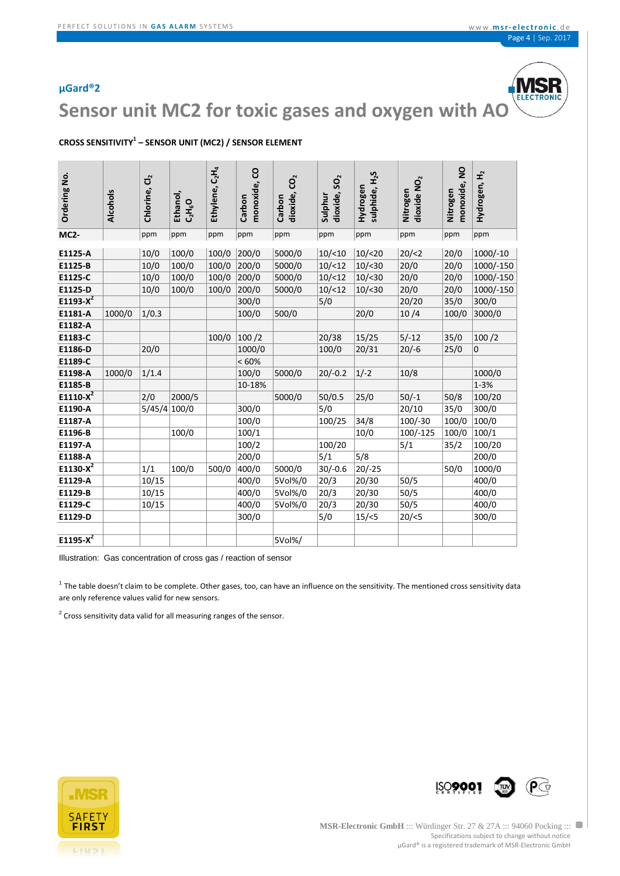

**Sensor unit MC2 for toxic gases and oxygen with AO**

### **CROSS SENSITIVITY<sup>1</sup> – SENSOR UNIT (MC2) / SENSOR ELEMENT**

| Ordering No. | Alcohols | Chlorine, Cl <sub>2</sub> | Ethanol,<br>$C_2H_6O$ | $C_2H_4$<br>Ethylene, | monoxide, CO<br>Carbon | CO <sub>2</sub><br>dioxide,<br>Carbon | dioxide, SO <sub>2</sub><br>Sulphur | sulphide, H <sub>2</sub> S<br>Hydrogen | dioxide NO <sub>2</sub><br>Nitrogen | $\overline{a}$<br>monoxide,<br>Nitrogen | £<br>Hydrogen, |
|--------------|----------|---------------------------|-----------------------|-----------------------|------------------------|---------------------------------------|-------------------------------------|----------------------------------------|-------------------------------------|-----------------------------------------|----------------|
| <b>MC2-</b>  |          | ppm                       | ppm                   | ppm                   | ppm                    | ppm                                   | ppm                                 | ppm                                    | ppm                                 | ppm                                     | ppm            |
|              |          |                           |                       |                       |                        |                                       |                                     |                                        |                                     |                                         |                |
| E1125-A      |          | 10/0                      | 100/0                 | 100/0                 | 200/0                  | 5000/0                                | 10/(10)                             | 10/ < 20                               | 20 / 2                              | 20/0                                    | $1000/-10$     |
| E1125-B      |          | 10/0                      | 100/0                 | 100/0                 | 200/0                  | 5000/0                                | 10/(12)                             | 10/ < 30                               | 20/0                                | 20/0                                    | 1000/-150      |
| E1125-C      |          | 10/0                      | 100/0                 | 100/0                 | 200/0                  | 5000/0                                | 10/(12)                             | 10/ < 30                               | 20/0                                | 20/0                                    | 1000/-150      |
| E1125-D      |          | 10/0                      | 100/0                 | 100/0                 | 200/0                  | 5000/0                                | 10/ < 12                            | 10/ < 30                               | 20/0                                | 20/0                                    | 1000/-150      |
| $E1193-X^2$  |          |                           |                       |                       | 300/0                  |                                       | 5/0                                 |                                        | 20/20                               | 35/0                                    | 300/0          |
| E1181-A      | 1000/0   | 1/0.3                     |                       |                       | 100/0                  | 500/0                                 |                                     | 20/0                                   | 10/4                                | 100/0                                   | 3000/0         |
| E1182-A      |          |                           |                       |                       |                        |                                       |                                     |                                        |                                     |                                         |                |
| E1183-C      |          |                           |                       | 100/0                 | 100/2                  |                                       | 20/38                               | 15/25                                  | $5/-12$                             | 35/0                                    | 100/2          |
| E1186-D      |          | 20/0                      |                       |                       | 1000/0                 |                                       | 100/0                               | 20/31                                  | $20/-6$                             | 25/0                                    | 0              |
| E1189-C      |          |                           |                       |                       | <60%                   |                                       |                                     |                                        |                                     |                                         |                |
| E1198-A      | 1000/0   | 1/1.4                     |                       |                       | 100/0                  | 5000/0                                | $20/-0.2$                           | $1/-2$                                 | 10/8                                |                                         | 1000/0         |
| E1185-B      |          |                           |                       |                       | 10-18%                 |                                       |                                     |                                        |                                     |                                         | $1 - 3%$       |
| E1110- $X^2$ |          | 2/0                       | 2000/5                |                       |                        | 5000/0                                | 50/0.5                              | 25/0                                   | $50/-1$                             | 50/8                                    | 100/20         |
| E1190-A      |          | 5/45/4                    | 100/0                 |                       | 300/0                  |                                       | 5/0                                 |                                        | 20/10                               | 35/0                                    | 300/0          |
| E1187-A      |          |                           |                       |                       | 100/0                  |                                       | 100/25                              | 34/8                                   | $100/-30$                           | 100/0                                   | 100/0          |
| E1196-B      |          |                           | 100/0                 |                       | 100/1                  |                                       |                                     | 10/0                                   | $100/-125$                          | 100/0                                   | 100/1          |
| E1197-A      |          |                           |                       |                       | 100/2                  |                                       | 100/20                              |                                        | 5/1                                 | 35/2                                    | 100/20         |
| E1188-A      |          |                           |                       |                       | 200/0                  |                                       | 5/1                                 | 5/8                                    |                                     |                                         | 200/0          |
| $E1130-X^2$  |          | 1/1                       | 100/0                 | 500/0                 | 400/0                  | 5000/0                                | $30/-0.6$                           | $20/-25$                               |                                     | 50/0                                    | 1000/0         |
| E1129-A      |          | 10/15                     |                       |                       | 400/0                  | 5Vol%/0                               | 20/3                                | 20/30                                  | 50/5                                |                                         | 400/0          |
| E1129-B      |          | 10/15                     |                       |                       | 400/0                  | 5Vol%/0                               | 20/3                                | 20/30                                  | 50/5                                |                                         | 400/0          |
| E1129-C      |          | 10/15                     |                       |                       | 400/0                  | 5Vol%/0                               | 20/3                                | 20/30                                  | 50/5                                |                                         | 400/0          |
| E1129-D      |          |                           |                       |                       | 300/0                  |                                       | 5/0                                 | 15 / < 5                               | 20/5                                |                                         | 300/0          |
| E1195- $X^2$ |          |                           |                       |                       |                        | 5Vol%/                                |                                     |                                        |                                     |                                         |                |

Illustration: Gas concentration of cross gas / reaction of sensor

 $1$  The table doesn't claim to be complete. Other gases, too, can have an influence on the sensitivity. The mentioned cross sensitivity data are only reference values valid for new sensors.

 $2$  Cross sensitivity data valid for all measuring ranges of the sensor.





**MSR-Electronic GmbH** ::: Würdinger Str. 27 & 27A ::: 94060 Pocking ::: Specifications subject to change without notice µGard® is a registered trademark of MSR-Electronic GmbH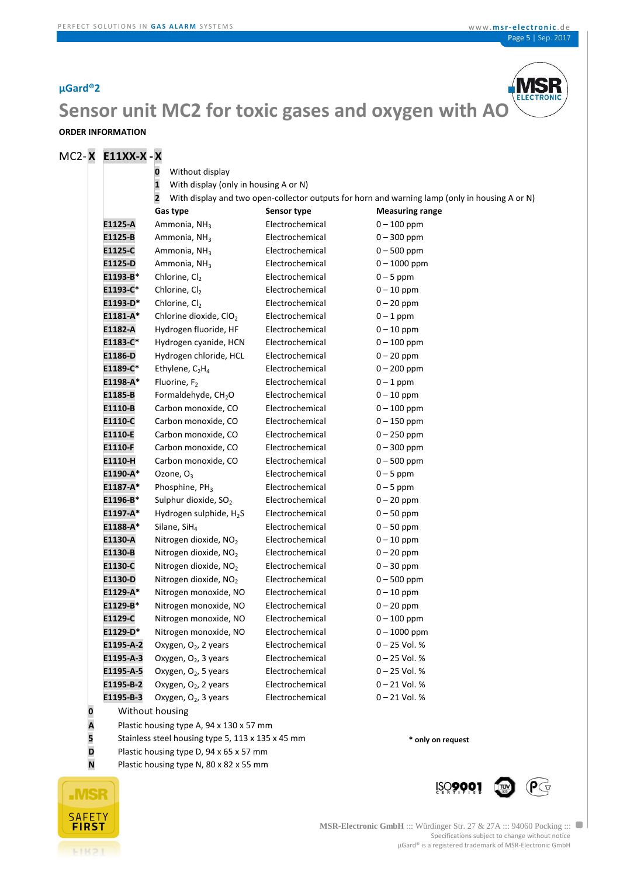

## **Sensor unit MC2 for toxic gases and oxygen with AO**

### **ORDER INFORMATION**

### MC2- **X E11XX-X -X**

|          |            | Without display<br>0                                                   |                 |                                                                                                |  |  |  |  |  |  |  |
|----------|------------|------------------------------------------------------------------------|-----------------|------------------------------------------------------------------------------------------------|--|--|--|--|--|--|--|
|          |            | $\mathbf{1}$<br>With display (only in housing A or N)                  |                 |                                                                                                |  |  |  |  |  |  |  |
|          |            | $\overline{\mathbf{2}}$                                                |                 | With display and two open-collector outputs for horn and warning lamp (only in housing A or N) |  |  |  |  |  |  |  |
|          |            | Gas type                                                               | Sensor type     | <b>Measuring range</b>                                                                         |  |  |  |  |  |  |  |
|          | E1125-A    | Ammonia, NH <sub>3</sub>                                               | Electrochemical | $0 - 100$ ppm                                                                                  |  |  |  |  |  |  |  |
|          | E1125-B    | Ammonia, NH <sub>3</sub>                                               | Electrochemical | $0 - 300$ ppm                                                                                  |  |  |  |  |  |  |  |
|          | E1125-C    | Ammonia, NH <sub>3</sub>                                               | Electrochemical | $0 - 500$ ppm                                                                                  |  |  |  |  |  |  |  |
|          | E1125-D    | Ammonia, NH <sub>3</sub>                                               | Electrochemical | $0 - 1000$ ppm                                                                                 |  |  |  |  |  |  |  |
|          | E1193-B*   | Chlorine, Cl <sub>2</sub>                                              | Electrochemical | $0 - 5$ ppm                                                                                    |  |  |  |  |  |  |  |
|          | E1193-C*   | Chlorine, Cl2                                                          | Electrochemical | $0 - 10$ ppm                                                                                   |  |  |  |  |  |  |  |
|          | E1193-D*   | Chlorine, Cl2                                                          | Electrochemical | $0 - 20$ ppm                                                                                   |  |  |  |  |  |  |  |
|          | $E1181-A*$ | Chlorine dioxide, ClO <sub>2</sub>                                     | Electrochemical | $0 - 1$ ppm                                                                                    |  |  |  |  |  |  |  |
|          | E1182-A    | Hydrogen fluoride, HF                                                  | Electrochemical | $0 - 10$ ppm                                                                                   |  |  |  |  |  |  |  |
|          | E1183-C*   | Hydrogen cyanide, HCN                                                  | Electrochemical | $0 - 100$ ppm                                                                                  |  |  |  |  |  |  |  |
|          | E1186-D    | Hydrogen chloride, HCL                                                 | Electrochemical | $0 - 20$ ppm                                                                                   |  |  |  |  |  |  |  |
|          | E1189-C*   | Ethylene, $C_2H_4$                                                     | Electrochemical | $0 - 200$ ppm                                                                                  |  |  |  |  |  |  |  |
|          | E1198-A*   | Fluorine, F <sub>2</sub>                                               | Electrochemical | $0 - 1$ ppm                                                                                    |  |  |  |  |  |  |  |
|          | E1185-B    | Formaldehyde, CH <sub>2</sub> O                                        | Electrochemical | $0 - 10$ ppm                                                                                   |  |  |  |  |  |  |  |
|          | E1110-B    | Carbon monoxide, CO                                                    | Electrochemical | $0 - 100$ ppm                                                                                  |  |  |  |  |  |  |  |
|          | E1110-C    | Carbon monoxide, CO                                                    | Electrochemical | $0 - 150$ ppm                                                                                  |  |  |  |  |  |  |  |
|          | E1110-E    | Carbon monoxide, CO                                                    | Electrochemical | $0 - 250$ ppm                                                                                  |  |  |  |  |  |  |  |
|          | E1110-F    | Carbon monoxide, CO                                                    | Electrochemical | $0 - 300$ ppm                                                                                  |  |  |  |  |  |  |  |
|          | E1110-H    | Carbon monoxide, CO                                                    | Electrochemical | $0 - 500$ ppm                                                                                  |  |  |  |  |  |  |  |
|          | E1190-A*   | Ozone, $O_3$                                                           | Electrochemical | $0 - 5$ ppm                                                                                    |  |  |  |  |  |  |  |
|          | E1187-A*   | Phosphine, PH <sub>3</sub>                                             | Electrochemical | $0 - 5$ ppm                                                                                    |  |  |  |  |  |  |  |
|          | E1196-B*   | Sulphur dioxide, SO <sub>2</sub>                                       | Electrochemical | $0 - 20$ ppm                                                                                   |  |  |  |  |  |  |  |
|          | E1197-A*   | Hydrogen sulphide, H <sub>2</sub> S                                    | Electrochemical | $0 - 50$ ppm                                                                                   |  |  |  |  |  |  |  |
|          | E1188-A*   | Silane, $SH4$                                                          | Electrochemical | $0 - 50$ ppm                                                                                   |  |  |  |  |  |  |  |
|          | E1130-A    | Nitrogen dioxide, NO <sub>2</sub>                                      | Electrochemical | $0 - 10$ ppm                                                                                   |  |  |  |  |  |  |  |
|          | E1130-B    | Nitrogen dioxide, NO <sub>2</sub>                                      | Electrochemical | $0 - 20$ ppm                                                                                   |  |  |  |  |  |  |  |
|          | E1130-C    | Nitrogen dioxide, NO <sub>2</sub>                                      | Electrochemical | $0 - 30$ ppm                                                                                   |  |  |  |  |  |  |  |
|          | E1130-D    | Nitrogen dioxide, NO <sub>2</sub>                                      | Electrochemical | $0 - 500$ ppm                                                                                  |  |  |  |  |  |  |  |
|          | E1129-A*   | Nitrogen monoxide, NO                                                  | Electrochemical | $0 - 10$ ppm                                                                                   |  |  |  |  |  |  |  |
|          | E1129-B*   | Nitrogen monoxide, NO                                                  | Electrochemical | $0 - 20$ ppm                                                                                   |  |  |  |  |  |  |  |
|          | E1129-C    | Nitrogen monoxide, NO                                                  | Electrochemical | $0 - 100$ ppm                                                                                  |  |  |  |  |  |  |  |
|          | E1129-D*   | Nitrogen monoxide, NO                                                  | Electrochemical | $0 - 1000$ ppm                                                                                 |  |  |  |  |  |  |  |
|          | E1195-A-2  | Oxygen, O <sub>2</sub> , 2 years                                       | Electrochemical | $0 - 25$ Vol. %                                                                                |  |  |  |  |  |  |  |
|          | E1195-A-3  | Oxygen, O <sub>2</sub> , 3 years                                       | Electrochemical | 0-25 Vol. %                                                                                    |  |  |  |  |  |  |  |
|          | E1195-A-5  | Oxygen, O <sub>2</sub> , 5 years                                       | Electrochemical | $0 - 25$ Vol. %                                                                                |  |  |  |  |  |  |  |
|          | E1195-B-2  | Oxygen, O <sub>2</sub> , 2 years                                       | Electrochemical | $0 - 21$ Vol. %                                                                                |  |  |  |  |  |  |  |
|          | E1195-B-3  | Oxygen, O <sub>2</sub> , 3 years                                       | Electrochemical | $0 - 21$ Vol. %                                                                                |  |  |  |  |  |  |  |
| $\bf{0}$ |            | Without housing                                                        |                 |                                                                                                |  |  |  |  |  |  |  |
| A        |            | Plastic housing type A, 94 x 130 x 57 mm                               |                 |                                                                                                |  |  |  |  |  |  |  |
| 5        |            | Stainless steel housing type 5, 113 x 135 x 45 mm<br>* only on request |                 |                                                                                                |  |  |  |  |  |  |  |
| D        |            | Plastic housing type D, 94 x 65 x 57 mm                                |                 |                                                                                                |  |  |  |  |  |  |  |
| N        |            | Plastic housing type N, 80 x 82 x 55 mm                                |                 |                                                                                                |  |  |  |  |  |  |  |

Plastic housing type N, 80 x 82 x 55 mm



**MSR-Electronic GmbH** ::: Würdinger Str. 27 & 27A ::: 94060 Pocking ::: Specifications subject to change without notice µGard® is a registered trademark of MSR-Electronic GmbH

**Į**ŞQ**9001** 

 $\mathbf{P}$